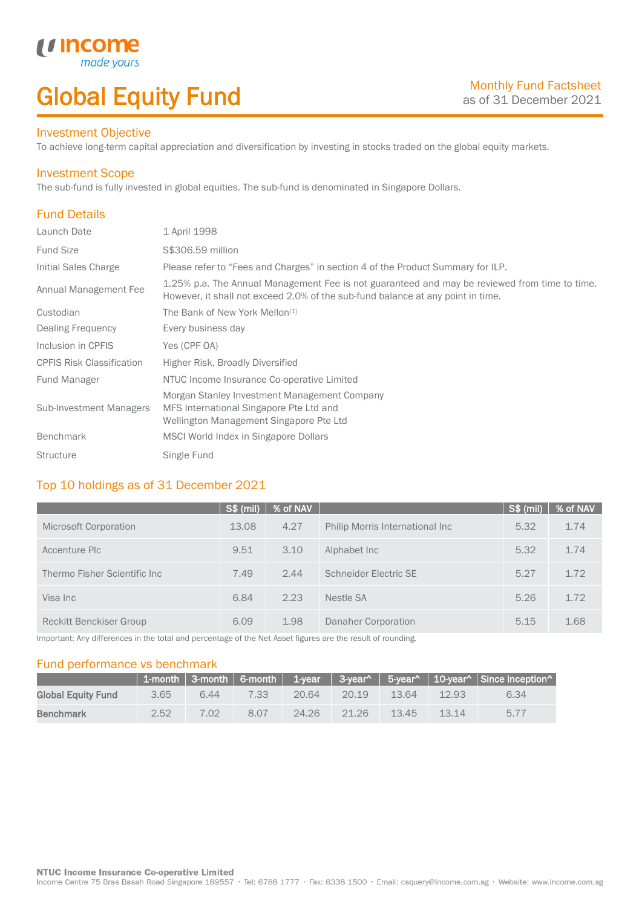# Global Equity Fund

#### Investment Objective

made<sub>y</sub>

*u* incon

To achieve long-term capital appreciation and diversification by investing in stocks traded on the global equity markets.

#### Investment Scope

The sub-fund is fully invested in global equities. The sub-fund is denominated in Singapore Dollars.

# Fund Details

I

| Launch Date                      | 1 April 1998                                                                                                                                                                     |
|----------------------------------|----------------------------------------------------------------------------------------------------------------------------------------------------------------------------------|
| <b>Fund Size</b>                 | S\$306.59 million                                                                                                                                                                |
| Initial Sales Charge             | Please refer to "Fees and Charges" in section 4 of the Product Summary for ILP.                                                                                                  |
| Annual Management Fee            | 1.25% p.a. The Annual Management Fee is not guaranteed and may be reviewed from time to time.<br>However, it shall not exceed 2.0% of the sub-fund balance at any point in time. |
| Custodian                        | The Bank of New York Mellon <sup>[1]</sup>                                                                                                                                       |
| Dealing Frequency                | Every business day                                                                                                                                                               |
| Inclusion in CPFIS               | Yes (CPF OA)                                                                                                                                                                     |
| <b>CPFIS Risk Classification</b> | Higher Risk, Broadly Diversified                                                                                                                                                 |
| <b>Fund Manager</b>              | NTUC Income Insurance Co-operative Limited                                                                                                                                       |
| <b>Sub-Investment Managers</b>   | Morgan Stanley Investment Management Company<br>MFS International Singapore Pte Ltd and<br>Wellington Management Singapore Pte Ltd                                               |
| <b>Benchmark</b>                 | MSCI World Index in Singapore Dollars                                                                                                                                            |
| <b>Structure</b>                 | Single Fund                                                                                                                                                                      |

# Top 10 holdings as of 31 December 2021

|                               | <b>S\$ (mil)</b> | % of NAV |                                 | $S$ \$ (mil) | % of NAV |
|-------------------------------|------------------|----------|---------------------------------|--------------|----------|
| Microsoft Corporation         | 13.08            | 4.27     | Philip Morris International Inc | 5.32         | 1.74     |
| Accenture Plc                 | 9.51             | 3.10     | Alphabet Inc.                   | 5.32         | 1.74     |
| Thermo Fisher Scientific Inc. | 7.49             | 2.44     | Schneider Electric SE           | 5.27         | 1.72     |
| Visa Inc                      | 6.84             | 2.23     | Nestle SA                       | 5.26         | 1.72     |
| Reckitt Benckiser Group       | 6.09             | 1.98     | Danaher Corporation             | 5.15         | 1.68     |

Important: Any differences in the total and percentage of the Net Asset figures are the result of rounding.

#### Fund performance vs benchmark

|                           |      |      |      |       |       |       |       | 1-month 3-month 6-month 1-year 3-year^ 5-year^ 10-year^ Since inception^ |
|---------------------------|------|------|------|-------|-------|-------|-------|--------------------------------------------------------------------------|
| <b>Global Equity Fund</b> | 3.65 | 6.44 | 7.33 | 20.64 | 20.19 | 13.64 | 12.93 | 6.34                                                                     |
| <b>Benchmark</b>          | 2.52 | 7.02 | 8.07 | 24.26 | 21.26 | 13.45 | 13.14 | 5.77                                                                     |